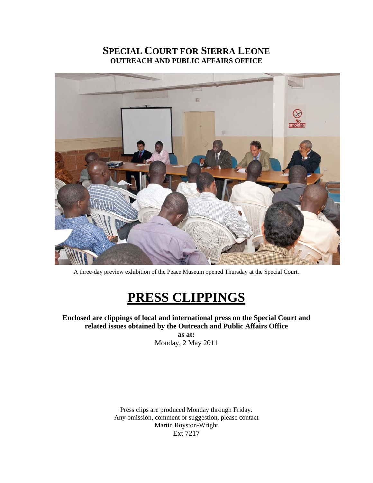# **SPECIAL COURT FOR SIERRA LEONE OUTREACH AND PUBLIC AFFAIRS OFFICE**



A three-day preview exhibition of the Peace Museum opened Thursday at the Special Court.

# **PRESS CLIPPINGS**

**Enclosed are clippings of local and international press on the Special Court and related issues obtained by the Outreach and Public Affairs Office** 

> **as at:**  Monday, 2 May 2011

Press clips are produced Monday through Friday. Any omission, comment or suggestion, please contact Martin Royston-Wright Ext 7217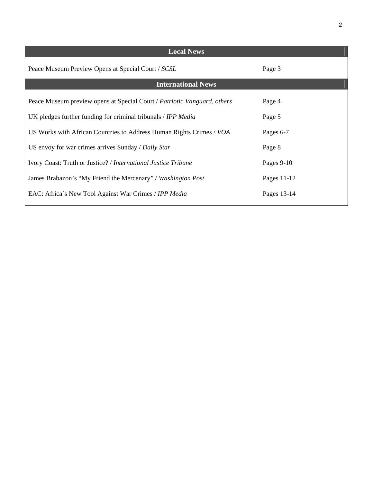| <b>Local News</b>                                                        |              |
|--------------------------------------------------------------------------|--------------|
| Peace Museum Preview Opens at Special Court / SCSL                       | Page 3       |
| <b>International News</b>                                                |              |
| Peace Museum preview opens at Special Court / Patriotic Vanguard, others | Page 4       |
| UK pledges further funding for criminal tribunals / IPP Media            | Page 5       |
| US Works with African Countries to Address Human Rights Crimes / VOA     | Pages 6-7    |
| US envoy for war crimes arrives Sunday / Daily Star                      | Page 8       |
| Ivory Coast: Truth or Justice? / International Justice Tribune           | Pages $9-10$ |
| James Brabazon's "My Friend the Mercenary" / Washington Post             | Pages 11-12  |
| EAC: Africa's New Tool Against War Crimes / IPP Media                    | Pages 13-14  |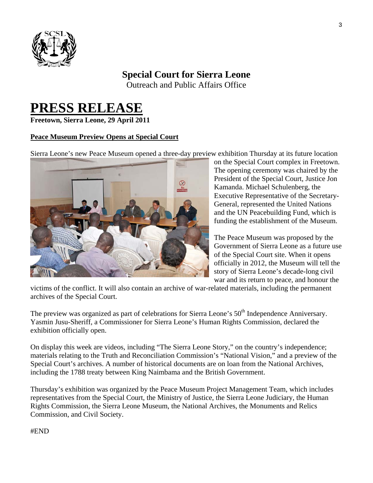

# **Special Court for Sierra Leone**

Outreach and Public Affairs Office

# **PRESS RELEASE Freetown, Sierra Leone, 29 April 2011**

#### **Peace Museum Preview Opens at Special Court**

Sierra Leone's new Peace Museum opened a three-day preview exhibition Thursday at its future location



on the Special Court complex in Freetown. The opening ceremony was chaired by the President of the Special Court, Justice Jon Kamanda. Michael Schulenberg, the Executive Representative of the Secretary-General, represented the United Nations and the UN Peacebuilding Fund, which is funding the establishment of the Museum.

The Peace Museum was proposed by the Government of Sierra Leone as a future u se of the Special Court site. When it open s officially in 2012, the Museum will tell the story of Sierra Leone's decade-long civil war and its return to peace, and honou r the

victims of the conflict. It will also contain an archive of war-related materials, including the permanent archives of the Special Court.

The preview was organized as part of celebrations for Sierra Leone's 50<sup>th</sup> Independence Anniversary. Yasmin Jusu-Sheriff, a Commissioner for Sierra Leone's Human Rights Commission, declared the exhibition officially open.

On display this week are videos, including "The Sierra Leone Story," on the country's independence; materials relating to the Truth and Reconciliation Commission's "National Vision," and a preview of the Special Court's archives. A number of historical documents are on loan from the National Archives, including the 1788 treaty between King Naimbama and the British Government.

Thursday's exhibition was organized by the Peace Museum Project Management Team, which includes representatives from the Special Court, the Ministry of Justice, the Sierra Leone Judiciary, the Human Rights Commission, the Sierra Leone Museum, the National Archives, the Monuments and Relics Commission, and Civil Society.

#END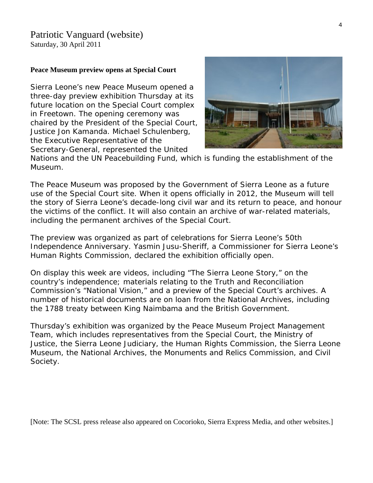## Patriotic Vanguard (website)

Saturday, 30 April 2011

#### **Peace Museum preview opens at Special Court**

Sierra Leone's new Peace Museum opened a three-day preview exhibition Thursday at its future location on the Special Court complex in Freetown. The opening ceremony was chaired by the President of the Special Court, Justice Jon Kamanda. Michael Schulenberg, the Executive Representative of the Secretary-General, represented the United



Nations and the UN Peacebuilding Fund, which is funding the establishment of the Museum.

The Peace Museum was proposed by the Government of Sierra Leone as a future use of the Special Court site. When it opens officially in 2012, the Museum will tell the story of Sierra Leone's decade-long civil war and its return to peace, and honour the victims of the conflict. It will also contain an archive of war-related materials, including the permanent archives of the Special Court.

The preview was organized as part of celebrations for Sierra Leone's 50th Independence Anniversary. Yasmin Jusu-Sheriff, a Commissioner for Sierra Leone's Human Rights Commission, declared the exhibition officially open.

On display this week are videos, including "The Sierra Leone Story," on the country's independence; materials relating to the Truth and Reconciliation Commission's "National Vision," and a preview of the Special Court's archives. A number of historical documents are on loan from the National Archives, including the 1788 treaty between King Naimbama and the British Government.

Thursday's exhibition was organized by the Peace Museum Project Management Team, which includes representatives from the Special Court, the Ministry of Justice, the Sierra Leone Judiciary, the Human Rights Commission, the Sierra Leone Museum, the National Archives, the Monuments and Relics Commission, and Civil Society.

[Note: The SCSL press release also appeared on Cocorioko, Sierra Express Media, and other websites.]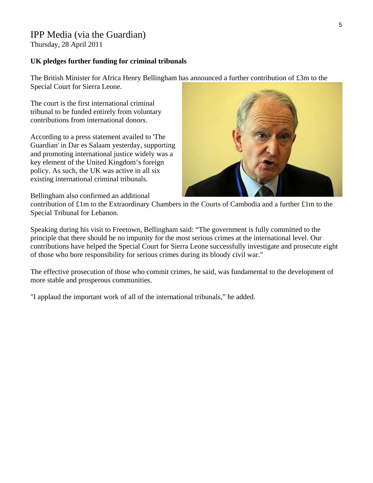## IPP Media (via the Guardian)

Thursday, 28 April 2011

#### **UK pledges further funding for criminal tribunals**

The British Minister for Africa Henry Bellingham has announced a further contribution of £3m to the Special Court for Sierra Leone.

The court is the first international criminal tribunal to be funded entirely from voluntary contributions from international donors.

According to a press statement availed to 'The Guardian' in Dar es Salaam yesterday, supporting and promoting international justice widely was a key element of the United Kingdom's foreign policy. As such, the UK was active in all six existing international criminal tribunals.



Bellingham also confirmed an additional

contribution of £1m to the Extraordinary Chambers in the Courts of Cambodia and a further £1m to the Special Tribunal for Lebanon.

Speaking during his visit to Freetown, Bellingham said: "The government is fully committed to the principle that there should be no impunity for the most serious crimes at the international level. Our contributions have helped the Special Court for Sierra Leone successfully investigate and prosecute eight of those who bore responsibility for serious crimes during its bloody civil war."

The effective prosecution of those who commit crimes, he said, was fundamental to the development of more stable and prosperous communities.

"I applaud the important work of all of the international tribunals," he added.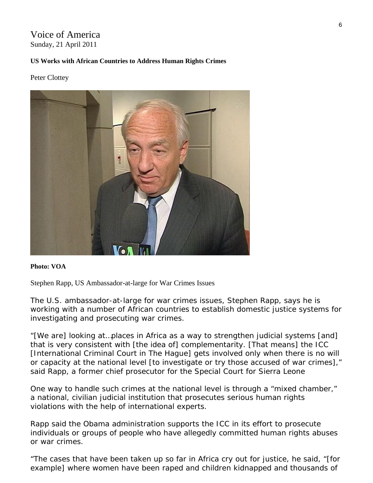### Voice of America Sunday, 21 April 2011

#### **US Works with African Countries to Address Human Rights Crimes**

#### Peter Clottey



#### **Photo: VOA**

Stephen Rapp, US Ambassador-at-large for War Crimes Issues

The U.S. ambassador-at-large for war crimes issues, Stephen Rapp, says he is working with a number of African countries to establish domestic justice systems for investigating and prosecuting war crimes.

"[We are] looking at…places in Africa as a way to strengthen judicial systems [and] that is very consistent with [the idea of] complementarity. [That means] the ICC [International Criminal Court in The Hague] gets involved only when there is no will or capacity at the national level [to investigate or try those accused of war crimes]," said Rapp, a former chief prosecutor for the Special Court for Sierra Leone

One way to handle such crimes at the national level is through a "mixed chamber," a national, civilian judicial institution that prosecutes serious human rights violations with the help of international experts.

Rapp said the Obama administration supports the ICC in its effort to prosecute individuals or groups of people who have allegedly committed human rights abuses or war crimes.

"The cases that have been taken up so far in Africa cry out for justice, he said, "[for example] where women have been raped and children kidnapped and thousands of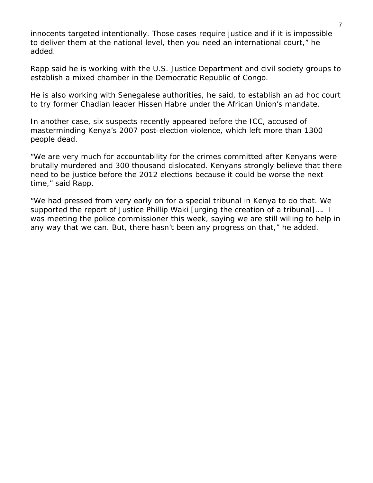innocents targeted intentionally. Those cases require justice and if it is impossible to deliver them at the national level, then you need an international court," he added.

Rapp said he is working with the U.S. Justice Department and civil society groups to establish a mixed chamber in the Democratic Republic of Congo.

He is also working with Senegalese authorities, he said, to establish an ad hoc court to try former Chadian leader Hissen Habre under the African Union's mandate.

In another case, six suspects recently appeared before the ICC, accused of masterminding Kenya's 2007 post-election violence, which left more than 1300 people dead.

"We are very much for accountability for the crimes committed after Kenyans were brutally murdered and 300 thousand dislocated. Kenyans strongly believe that there need to be justice before the 2012 elections because it could be worse the next time," said Rapp.

"We had pressed from very early on for a special tribunal in Kenya to do that. We supported the report of Justice Phillip Waki [urging the creation of a tribunal]…. I was meeting the police commissioner this week, saying we are still willing to help in any way that we can. But, there hasn't been any progress on that," he added.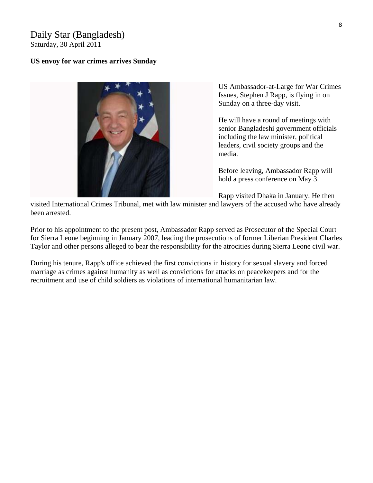#### Daily Star (Bangladesh) Saturday, 30 April 2011

#### **US envoy for war crimes arrives Sunday**



US Ambassador-at-Large for War Crimes Issues, Stephen J Rapp, is flying in on Sunday on a three-day visit.

He will have a round of meetings with senior Bangladeshi government officials including the law minister, political leaders, civil society groups and the media.

Before leaving, Ambassador Rapp will hold a press conference on May 3.

Rapp visited Dhaka in January. He then

visited International Crimes Tribunal, met with law minister and lawyers of the accused who have already been arrested.

Prior to his appointment to the present post, Ambassador Rapp served as Prosecutor of the Special Court for Sierra Leone beginning in January 2007, leading the prosecutions of former Liberian President Charles Taylor and other persons alleged to bear the responsibility for the atrocities during Sierra Leone civil war.

During his tenure, Rapp's office achieved the first convictions in history for sexual slavery and forced marriage as crimes against humanity as well as convictions for attacks on peacekeepers and for the recruitment and use of child soldiers as violations of international humanitarian law.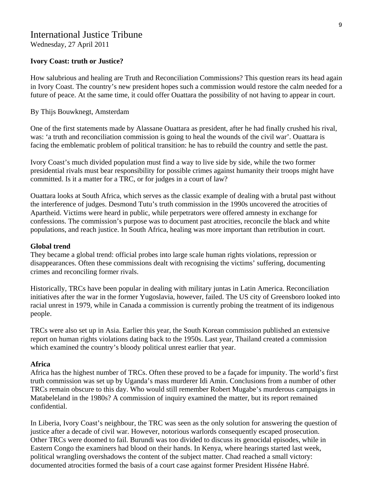# International Justice Tribune

Wednesday, 27 April 2011

#### **Ivory Coast: truth or Justice?**

How salubrious and healing are Truth and Reconciliation Commissions? This question rears its head again in Ivory Coast. The country's new president hopes such a commission would restore the calm needed for a future of peace. At the same time, it could offer Ouattara the possibility of not having to appear in court.

#### By Thijs Bouwknegt, Amsterdam

One of the first statements made by Alassane Ouattara as president, after he had finally crushed his rival, was: 'a truth and reconciliation commission is going to heal the wounds of the civil war'. Ouattara is facing the emblematic problem of political transition: he has to rebuild the country and settle the past.

Ivory Coast's much divided population must find a way to live side by side, while the two former presidential rivals must bear responsibility for possible crimes against humanity their troops might have committed. Is it a matter for a TRC, or for judges in a court of law?

Ouattara looks at South Africa, which serves as the classic example of dealing with a brutal past without the interference of judges. Desmond Tutu's truth commission in the 1990s uncovered the atrocities of Apartheid. Victims were heard in public, while perpetrators were offered amnesty in exchange for confessions. The commission's purpose was to document past atrocities, reconcile the black and white populations, and reach justice. In South Africa, healing was more important than retribution in court.

#### **Global trend**

They became a global trend: official probes into large scale human rights violations, repression or disappearances. Often these commissions dealt with recognising the victims' suffering, documenting crimes and reconciling former rivals.

Historically, TRCs have been popular in dealing with military juntas in Latin America. Reconciliation initiatives after the war in the former Yugoslavia, however, failed. The US city of Greensboro looked into racial unrest in 1979, while in Canada a commission is currently probing the treatment of its indigenous people.

TRCs were also set up in Asia. Earlier this year, the South Korean commission published an extensive report on human rights violations dating back to the 1950s. Last year, Thailand created a commission which examined the country's bloody political unrest earlier that year.

#### **Africa**

Africa has the highest number of TRCs. Often these proved to be a façade for impunity. The world's first truth commission was set up by Uganda's mass murderer Idi Amin. Conclusions from a number of other TRCs remain obscure to this day. Who would still remember Robert Mugabe's murderous campaigns in Matabeleland in the 1980s? A commission of inquiry examined the matter, but its report remained confidential.

In Liberia, Ivory Coast's neighbour, the TRC was seen as the only solution for answering the question of justice after a decade of civil war. However, notorious warlords consequently escaped prosecution. Other TRCs were doomed to fail. Burundi was too divided to discuss its genocidal episodes, while in Eastern Congo the examiners had blood on their hands. In Kenya, where hearings started last week, political wrangling overshadows the content of the subject matter. Chad reached a small victory: documented atrocities formed the basis of a court case against former President Hisséne Habré.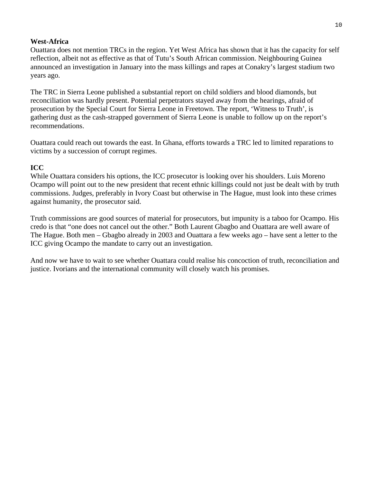#### **West-Africa**

Ouattara does not mention TRCs in the region. Yet West Africa has shown that it has the capacity for self reflection, albeit not as effective as that of Tutu's South African commission. Neighbouring Guinea announced an investigation in January into the mass killings and rapes at Conakry's largest stadium two years ago.

The TRC in Sierra Leone published a substantial report on child soldiers and blood diamonds, but reconciliation was hardly present. Potential perpetrators stayed away from the hearings, afraid of prosecution by the Special Court for Sierra Leone in Freetown. The report, 'Witness to Truth', is gathering dust as the cash-strapped government of Sierra Leone is unable to follow up on the report's recommendations.

Ouattara could reach out towards the east. In Ghana, efforts towards a TRC led to limited reparations to victims by a succession of corrupt regimes.

#### **ICC**

While Ouattara considers his options, the ICC prosecutor is looking over his shoulders. Luis Moreno Ocampo will point out to the new president that recent ethnic killings could not just be dealt with by truth commissions. Judges, preferably in Ivory Coast but otherwise in The Hague, must look into these crimes against humanity, the prosecutor said.

Truth commissions are good sources of material for prosecutors, but impunity is a taboo for Ocampo. His credo is that "one does not cancel out the other." Both Laurent Gbagbo and Ouattara are well aware of The Hague. Both men – Gbagbo already in 2003 and Ouattara a few weeks ago – have sent a letter to the ICC giving Ocampo the mandate to carry out an investigation.

And now we have to wait to see whether Ouattara could realise his concoction of truth, reconciliation and justice. Ivorians and the international community will closely watch his promises.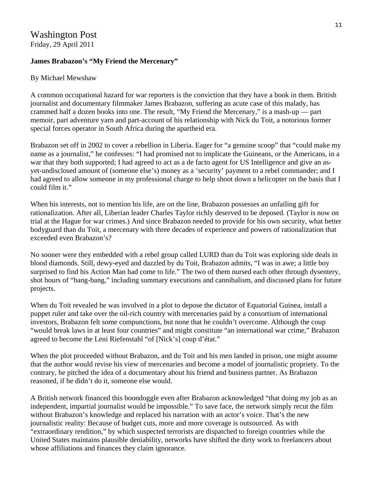#### **James Brabazon's "My Friend the Mercenary"**

#### By Michael Mewshaw

A common occupational hazard for war reporters is the conviction that they have a book in them. British journalist and documentary filmmaker James Brabazon, suffering an acute case of this malady, has crammed half a dozen books into one. The result, "My Friend the Mercenary," is a mash-up — part memoir, part adventure yarn and part-account of his relationship with Nick du Toit, a notorious former special forces operator in South Africa during the apartheid era.

Brabazon set off in 2002 to cover a rebellion in Liberia. Eager for "a genuine scoop" that "could make my name as a journalist," he confesses: "I had promised not to implicate the Guineans, or the Americans, in a war that they both supported; I had agreed to act as a de facto agent for US Intelligence and give an asyet-undisclosed amount of (someone else's) money as a 'security' payment to a rebel commander; and I had agreed to allow someone in my professional charge to help shoot down a helicopter on the basis that I could film it."

When his interests, not to mention his life, are on the line, Brabazon possesses an unfailing gift for rationalization. After all, Liberian leader Charles Taylor richly deserved to be deposed. (Taylor is now on trial at the Hague for war crimes.) And since Brabazon needed to provide for his own security, what better bodyguard than du Toit, a mercenary with three decades of experience and powers of rationalization that exceeded even Brabazon's?

No sooner were they embedded with a rebel group called LURD than du Toit was exploring side deals in blood diamonds. Still, dewy-eyed and dazzled by du Toit, Brabazon admits, "I was in awe; a little boy surprised to find his Action Man had come to life." The two of them nursed each other through dysentery, shot hours of "bang-bang," including summary executions and cannibalism, and discussed plans for future projects.

When du Toit revealed he was involved in a plot to depose the dictator of Equatorial Guinea, install a puppet ruler and take over the oil-rich country with mercenaries paid by a consortium of international investors, Brabazon felt some compunctions, but none that he couldn't overcome. Although the coup "would break laws in at least four countries" and might constitute "an international war crime," Brabazon agreed to become the Leni Riefenstahl "of [Nick's] coup d'état."

When the plot proceeded without Brabazon, and du Toit and his men landed in prison, one might assume that the author would revise his view of mercenaries and become a model of journalistic propriety. To the contrary, he pitched the idea of a documentary about his friend and business partner. As Brabazon reasoned, if he didn't do it, someone else would.

A British network financed this boondoggle even after Brabazon acknowledged "that doing my job as an independent, impartial journalist would be impossible." To save face, the network simply recut the film without Brabazon's knowledge and replaced his narration with an actor's voice. That's the new journalistic reality: Because of budget cuts, more and more coverage is outsourced. As with "extraordinary rendition," by which suspected terrorists are dispatched to foreign countries while the United States maintains plausible deniability, networks have shifted the dirty work to freelancers about whose affiliations and finances they claim ignorance.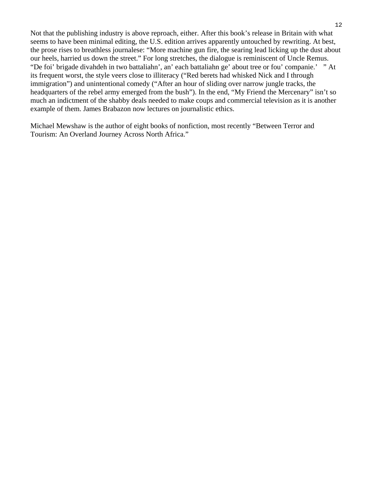Not that the publishing industry is above reproach, either. After this book's release in Britain with what seems to have been minimal editing, the U.S. edition arrives apparently untouched by rewriting. At best, the prose rises to breathless journalese: "More machine gun fire, the searing lead licking up the dust about our heels, harried us down the street." For long stretches, the dialogue is reminiscent of Uncle Remus. "De foi' brigade divahdeh in two battaliahn', an' each battaliahn ge' about tree or fou' companie.'" At its frequent worst, the style veers close to illiteracy ("Red berets had whisked Nick and I through immigration") and unintentional comedy ("After an hour of sliding over narrow jungle tracks, the headquarters of the rebel army emerged from the bush"). In the end, "My Friend the Mercenary" isn't so much an indictment of the shabby deals needed to make coups and commercial television as it is another example of them. James Brabazon now lectures on journalistic ethics.

Michael Mewshaw is the author of eight books of nonfiction, most recently "Between Terror and Tourism: An Overland Journey Across North Africa."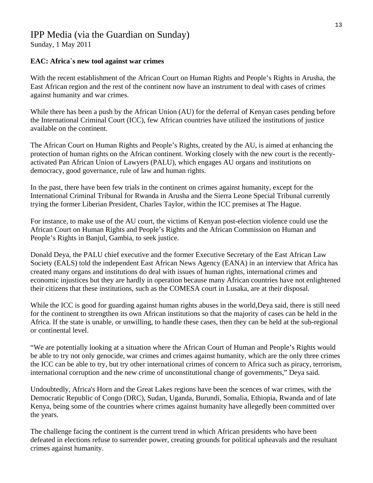# IPP Media (via the Guardian on Sunday)

Sunday, 1 May 2011

#### **EAC: Africa`s new tool against war crimes**

With the recent establishment of the African Court on Human Rights and People's Rights in Arusha, the East African region and the rest of the continent now have an instrument to deal with cases of crimes against humanity and war crimes.

While there has been a push by the African Union (AU) for the deferral of Kenyan cases pending before the International Criminal Court (ICC), few African countries have utilized the institutions of justice available on the continent.

The African Court on Human Rights and People's Rights, created by the AU, is aimed at enhancing the protection of human rights on the African continent. Working closely with the new court is the recentlyactivated Pan African Union of Lawyers (PALU), which engages AU organs and institutions on democracy, good governance, rule of law and human rights.

In the past, there have been few trials in the continent on crimes against humanity, except for the International Criminal Tribunal for Rwanda in Arusha and the Sierra Leone Special Tribunal currently trying the former Liberian President, Charles Taylor, within the ICC premises at The Hague.

For instance, to make use of the AU court, the victims of Kenyan post-election violence could use the African Court on Human Rights and People's Rights and the African Commission on Human and People's Rights in Banjul, Gambia, to seek justice.

Donald Deya, the PALU chief executive and the former Executive Secretary of the East African Law Society (EALS) told the independent East African News Agency (EANA) in an interview that Africa has created many organs and institutions do deal with issues of human rights, international crimes and economic injustices but they are hardly in operation because many African countries have not enlightened their citizens that these institutions, such as the COMESA court in Lusaka, are at their disposal.

While the ICC is good for guarding against human rights abuses in the world, Deya said, there is still need for the continent to strengthen its own African institutions so that the majority of cases can be held in the Africa. If the state is unable, or unwilling, to handle these cases, then they can be held at the sub-regional or continental level.

"We are potentially looking at a situation where the African Court of Human and People's Rights would be able to try not only genocide, war crimes and crimes against humanity, which are the only three crimes the ICC can be able to try, but try other international crimes of concern to Africa such as piracy, terrorism, international corruption and the new crime of unconstitutional change of governments," Deya said.

Undoubtedly, Africa's Horn and the Great Lakes regions have been the scences of war crimes, with the Democratic Republic of Congo (DRC), Sudan, Uganda, Burundi, Somalia, Ethiopia, Rwanda and of late Kenya, being some of the countries where crimes against humanity have allegedly been committed over the years.

The challenge facing the continent is the current trend in which African presidents who have been defeated in elections refuse to surrender power, creating grounds for political upheavals and the resultant crimes against humanity.